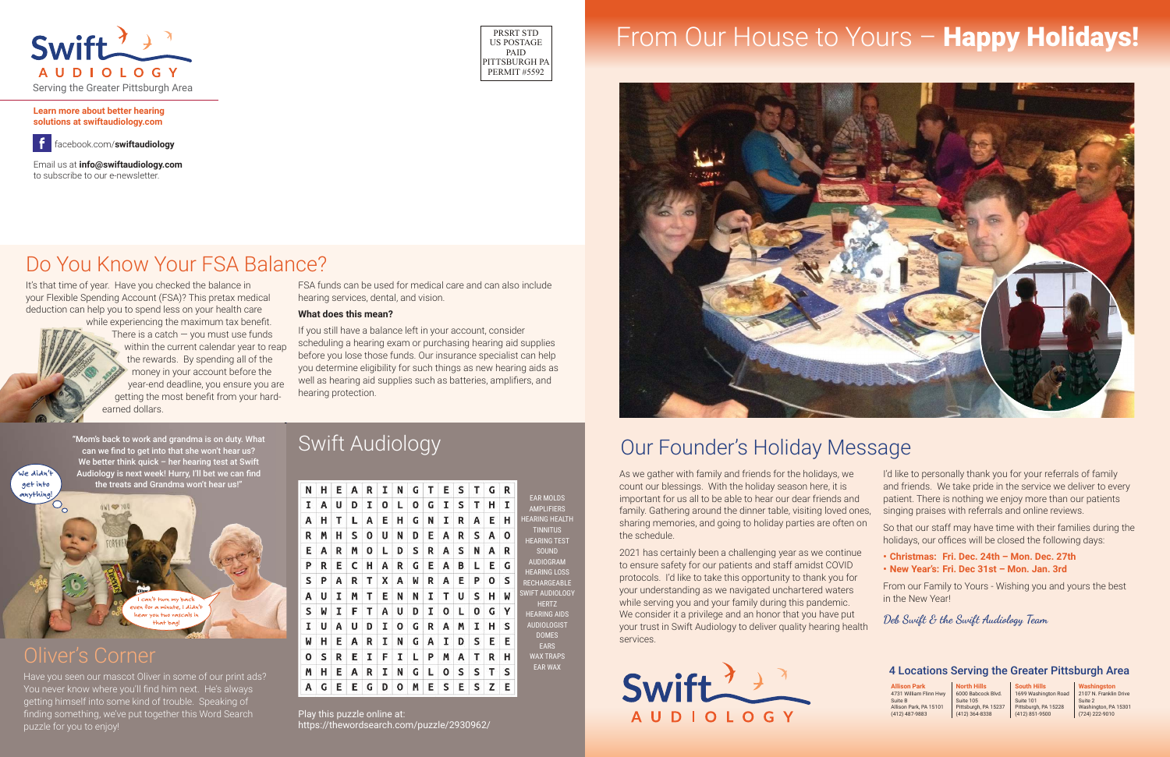# Our Founder's Holiday Message

### Oliver's Corner

Have you seen our mascot Oliver in some of our print ads? You never know where you'll find him next. He's always getting himself into some kind of trouble. Speaking of finding something, we've put together this Word Search puzzle for you to enjoy!





"Mom's back to work and grandma is on duty. What can we find to get into that she won't hear us? We better think quick – her hearing test at Swift Audiology is next week! Hurry, I'll bet we can find the treats and Grandma won't hear us!"

It's that time of year. Have you checked the balance in your Flexible Spending Account (FSA)? This pretax medical deduction can help you to spend less on your health care

while experiencing the maximum tax benefit. There is a catch  $-$  you must use funds within the current calendar year to reap the rewards. By spending all of the money in your account before the year-end deadline, you ensure you are getting the most benefit from your hardearned dollars.

FSA funds can be used for medical care and can also include hearing services, dental, and vision.

#### **What does this mean?**

If you still have a balance left in your account, consider scheduling a hearing exam or purchasing hearing aid supplies before you lose those funds. Our insurance specialist can help you determine eligibility for such things as new hearing aids as well as hearing aid supplies such as batteries, amplifiers, and hearing protection.

# Do You Know Your FSA Balance?



# **PRSRT STD** From Our House to Yours – **Happy Holidays!**



**Learn more about better hearing solutions at swiftaudiology.com**

Email us at **info@swiftaudiology.com** to subscribe to our e-newsletter.

facebook.com/**swiftaudiology**



### 4 Locations Serving the Greater Pittsburgh Area

**Allison Park**  4731 William Flinn Hwy Suite B Allison Park, PA 15101 (412) 487-9883

**North Hills** 6000 Babcock Blvd. Suite 105 Pittsburgh, PA 15237 (412) 364-8338

**South Hills** 1699 Washington Road Suite 101 Pittsburgh, PA 15228 (412) 851-9500

**Washingston** 2107 N. Franklin Drive Suite 2 Washington, PA 15301 (724) 222-9010

2021 has certainly been a challenging year as we continue to ensure safety for our patients and staff amidst COVID protocols. I'd like to take this opportunity to thank you for your understanding as we navigated unchartered waters while serving you and your family during this pandemic. We consider it a privilege and an honor that you have put your trust in Swift Audiology to deliver quality hearing health services.

Swift  $\rightarrow$ **AUDIOLOGY** 

As we gather with family and friends for the holidays, we count our blessings. With the holiday season here, it is important for us all to be able to hear our dear friends and family. Gathering around the dinner table, visiting loved ones, sharing memories, and going to holiday parties are often on the schedule. and friends. We take pride in the service we deliver to every patient. There is nothing we enjoy more than our patients singing praises with referrals and online reviews. So that our staff may have time with their families during the holidays, our offices will be closed the following days:

I'd like to personally thank you for your referrals of family

**• Christmas: Fri. Dec. 24th – Mon. Dec. 27th • New Year's: Fri. Dec 31st – Mon. Jan. 3rd**

From our Family to Yours - Wishing you and yours the best in the New Year!

**Deb Swift & the Swift Audiology Team**

### Swift Audiology

| N | н | Ε | Α | R | I | N | G | т | E | s | т | G | R |                                                                                                                                                   |
|---|---|---|---|---|---|---|---|---|---|---|---|---|---|---------------------------------------------------------------------------------------------------------------------------------------------------|
| I | Α | U | D | I | ٥ | L | ٥ | G | I | s | т | н | I | <b>EAR MOLDS</b><br><b>AMPLIFIERS</b>                                                                                                             |
| Α | Н | т | L | Α | Ε | н | G | N | I | R | Α | E | н | <b>HEARING HEALTH</b><br><b>TINNITUS</b><br><b>HEARING TEST</b><br><b>SOUND</b><br><b>AUDIOGRAM</b><br><b>HEARING LOSS</b><br><b>RECHARGEABLE</b> |
| R | M | н | s | 0 | U | N | D | E | А | R | S | Α | 0 |                                                                                                                                                   |
| E | Α | R | M | 0 | L | D | s | R | Α | s | N | А | R |                                                                                                                                                   |
| P | R | E | c | Н | Α | R | G | E | Α | B | L | E | G |                                                                                                                                                   |
| S | P | Α | R | т | x | Α | W | R | Α | E | P | 0 | s |                                                                                                                                                   |
| Α | U | I | M | т | E | N | N | T | т | U | s | н | W | <b>SWIFT AUDIOLOGY</b>                                                                                                                            |
| S | M | Ι | F | Т | Α | U | D | I | ٥ | L | 0 | G | Υ | <b>HERTZ</b><br><b>HEARING AIDS</b>                                                                                                               |
| I | U | Α | U | D | I | Ο | G | R | Α | M | I | н | S | <b>AUDIOLOGIST</b>                                                                                                                                |
| W | н | E | Α | R | I | N | G | Α | I | D | s | E | E | <b>DOMES</b><br><b>EARS</b>                                                                                                                       |
| 0 | s | R | Е | I | F | Ι | L | P | M | Α | Т | R | н | <b>WAX TRAPS</b>                                                                                                                                  |
| M | Н | Ε | Α | R | I | N | G | L | 0 | s | s | т | S | <b>EAR WAX</b>                                                                                                                                    |
| Α | G | E | E | G | D | Ο | M | E | s | E | s | z | Ε |                                                                                                                                                   |

Play this puzzle online at: https://thewordsearch.com/puzzle/2930962/